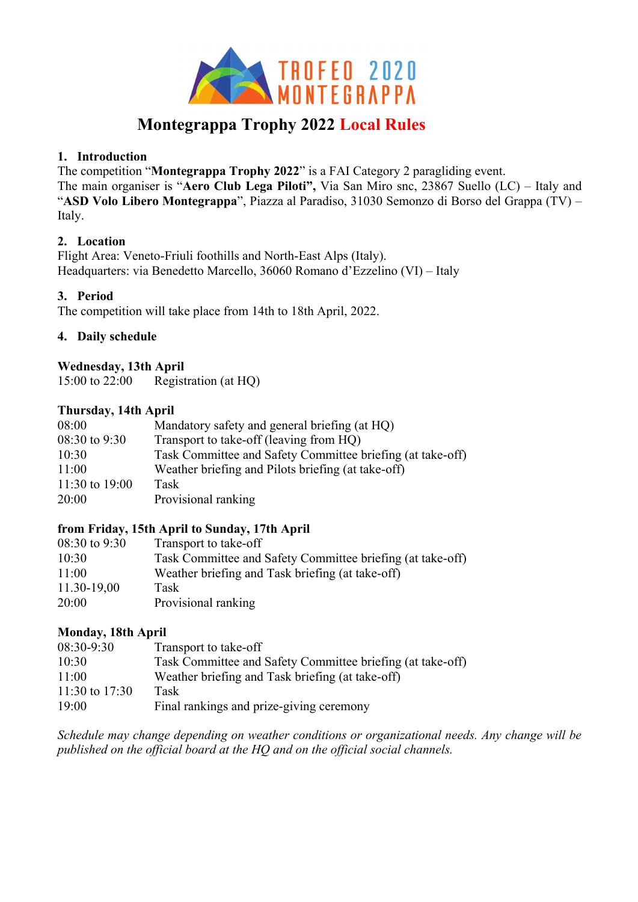

# **Montegrappa Trophy 2022 Local Rules**

#### **1. Introduction**

The competition "**Montegrappa Trophy 2022**" is a FAI Category 2 paragliding event. The main organiser is "**Aero Club Lega Piloti",** Via San Miro snc, 23867 Suello (LC) – Italy and "**ASD Volo Libero Montegrappa**", Piazza al Paradiso, 31030 Semonzo di Borso del Grappa (TV) – Italy.

#### **2. Location**

Flight Area: Veneto-Friuli foothills and North-East Alps (Italy). Headquarters: via Benedetto Marcello, 36060 Romano d'Ezzelino (VI) – Italy

#### **3. Period**

The competition will take place from 14th to 18th April, 2022.

#### **4. Daily schedule**

#### **Wednesday, 13th April**

15:00 to 22:00 Registration (at HQ)

#### **Thursday, 14th April**

| Task Committee and Safety Committee briefing (at take-off) |
|------------------------------------------------------------|
|                                                            |
|                                                            |
|                                                            |
|                                                            |

# **from Friday, 15th April to Sunday, 17th April**

| $08:30$ to 9:30<br>Transport to take-off                            |  |
|---------------------------------------------------------------------|--|
| Task Committee and Safety Committee briefing (at take-off)<br>10:30 |  |
| Weather briefing and Task briefing (at take-off)<br>11:00           |  |
| 11.30-19,00<br>Task                                                 |  |
| Provisional ranking<br>20:00                                        |  |

# **Monday, 18th April**

| 08:30-9:30       | Transport to take-off                                      |
|------------------|------------------------------------------------------------|
| 10:30            | Task Committee and Safety Committee briefing (at take-off) |
| 11:00            | Weather briefing and Task briefing (at take-off)           |
| 11:30 to $17:30$ | Task                                                       |
| 19:00            | Final rankings and prize-giving ceremony                   |

*Schedule may change depending on weather conditions or organizational needs. Any change will be published on the official board at the HQ and on the official social channels.*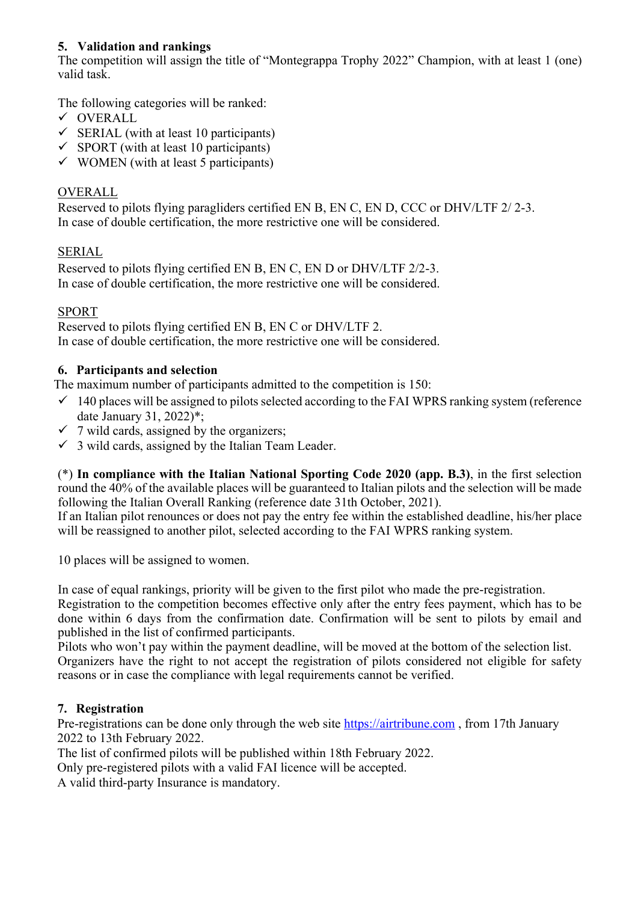#### **5. Validation and rankings**

The competition will assign the title of "Montegrappa Trophy 2022" Champion, with at least 1 (one) valid task.

The following categories will be ranked:

- $\checkmark$  OVERALL
- $\checkmark$  SERIAL (with at least 10 participants)
- $\checkmark$  SPORT (with at least 10 participants)
- $\checkmark$  WOMEN (with at least 5 participants)

# OVERALL

Reserved to pilots flying paragliders certified EN B, EN C, EN D, CCC or DHV/LTF 2/ 2-3. In case of double certification, the more restrictive one will be considered.

# SERIAL

Reserved to pilots flying certified EN B, EN C, EN D or DHV/LTF 2/2-3. In case of double certification, the more restrictive one will be considered.

# SPORT

Reserved to pilots flying certified EN B, EN C or DHV/LTF 2. In case of double certification, the more restrictive one will be considered.

# **6. Participants and selection**

The maximum number of participants admitted to the competition is 150:

- $\checkmark$  140 places will be assigned to pilots selected according to the FAI WPRS ranking system (reference date January 31, 2022)\*;
- $\checkmark$  7 wild cards, assigned by the organizers;
- $\checkmark$  3 wild cards, assigned by the Italian Team Leader.

(\*) **In compliance with the Italian National Sporting Code 2020 (app. B.3)**, in the first selection round the 40% of the available places will be guaranteed to Italian pilots and the selection will be made following the Italian Overall Ranking (reference date 31th October, 2021).

If an Italian pilot renounces or does not pay the entry fee within the established deadline, his/her place will be reassigned to another pilot, selected according to the FAI WPRS ranking system.

10 places will be assigned to women.

In case of equal rankings, priority will be given to the first pilot who made the pre-registration. Registration to the competition becomes effective only after the entry fees payment, which has to be

done within 6 days from the confirmation date. Confirmation will be sent to pilots by email and published in the list of confirmed participants. Pilots who won't pay within the payment deadline, will be moved at the bottom of the selection list.

Organizers have the right to not accept the registration of pilots considered not eligible for safety reasons or in case the compliance with legal requirements cannot be verified.

# **7. Registration**

Pre-registrations can be done only through the web site https://airtribune.com, from 17th January 2022 to 13th February 2022.

The list of confirmed pilots will be published within 18th February 2022.

Only pre-registered pilots with a valid FAI licence will be accepted.

A valid third-party Insurance is mandatory.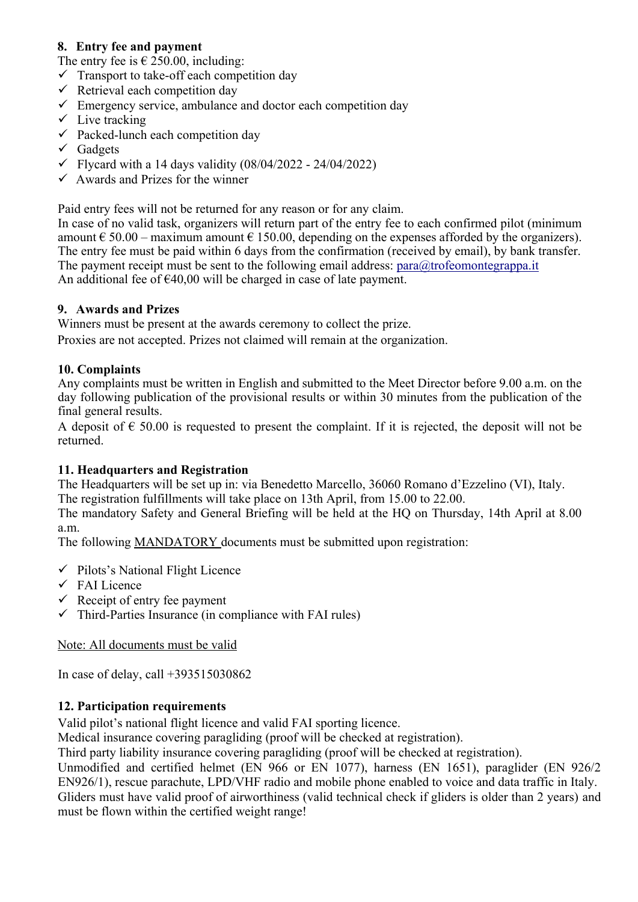# **8. Entry fee and payment**

The entry fee is  $\in$  250.00, including:

- $\checkmark$  Transport to take-off each competition day
- $\checkmark$  Retrieval each competition day
- $\checkmark$  Emergency service, ambulance and doctor each competition day
- $\checkmark$  Live tracking
- $\checkmark$  Packed-lunch each competition day
- $\checkmark$  Gadgets
- $\checkmark$  Flycard with a 14 days validity (08/04/2022 24/04/2022)
- $\checkmark$  Awards and Prizes for the winner

Paid entry fees will not be returned for any reason or for any claim.

In case of no valid task, organizers will return part of the entry fee to each confirmed pilot (minimum amount  $\epsilon$  50.00 – maximum amount  $\epsilon$  150.00, depending on the expenses afforded by the organizers). The entry fee must be paid within 6 days from the confirmation (received by email), by bank transfer. The payment receipt must be sent to the following email address:  $para@trofeomontegrappa.it$ An additional fee of  $\epsilon$ 40,00 will be charged in case of late payment.

#### **9. Awards and Prizes**

Winners must be present at the awards ceremony to collect the prize.

Proxies are not accepted. Prizes not claimed will remain at the organization.

#### **10. Complaints**

Any complaints must be written in English and submitted to the Meet Director before 9.00 a.m. on the day following publication of the provisional results or within 30 minutes from the publication of the final general results.

A deposit of  $\epsilon$  50.00 is requested to present the complaint. If it is rejected, the deposit will not be returned.

#### **11. Headquarters and Registration**

The Headquarters will be set up in: via Benedetto Marcello, 36060 Romano d'Ezzelino (VI), Italy. The registration fulfillments will take place on 13th April, from 15.00 to 22.00.

The mandatory Safety and General Briefing will be held at the HQ on Thursday, 14th April at 8.00 a.m.

The following MANDATORY documents must be submitted upon registration:

- $\checkmark$  Pilots's National Flight Licence
- $\checkmark$  FAI Licence
- $\checkmark$  Receipt of entry fee payment
- $\checkmark$  Third-Parties Insurance (in compliance with FAI rules)

#### Note: All documents must be valid

In case of delay, call +393515030862

#### **12. Participation requirements**

Valid pilot's national flight licence and valid FAI sporting licence.

Medical insurance covering paragliding (proof will be checked at registration).

Third party liability insurance covering paragliding (proof will be checked at registration).

Unmodified and certified helmet (EN 966 or EN 1077), harness (EN 1651), paraglider (EN 926/2 EN926/1), rescue parachute, LPD/VHF radio and mobile phone enabled to voice and data traffic in Italy. Gliders must have valid proof of airworthiness (valid technical check if gliders is older than 2 years) and must be flown within the certified weight range!